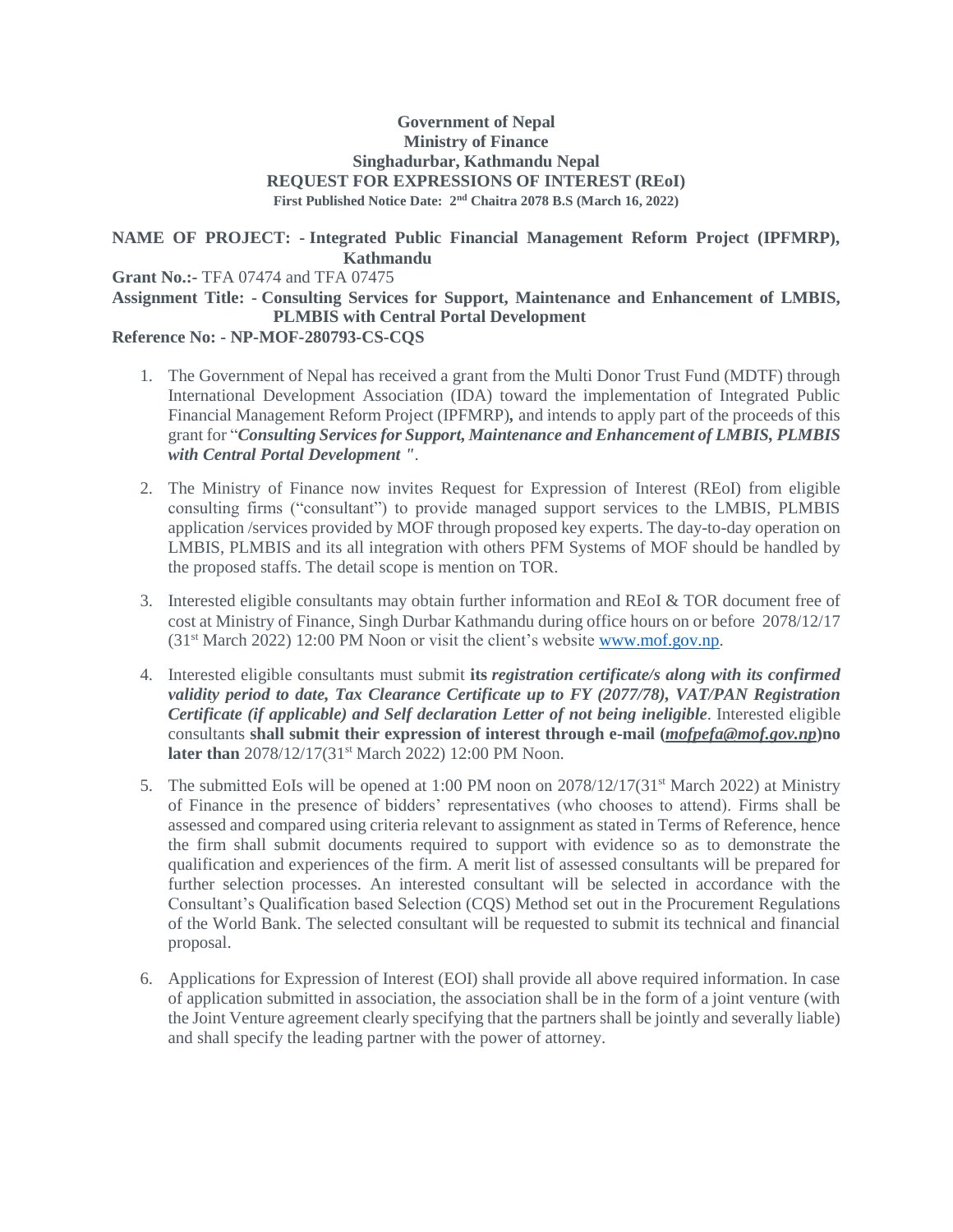#### **Government of Nepal Ministry of Finance Singhadurbar, Kathmandu Nepal REQUEST FOR EXPRESSIONS OF INTEREST (REoI) First Published Notice Date: 2 nd Chaitra 2078 B.S (March 16, 2022)**

#### **NAME OF PROJECT: - Integrated Public Financial Management Reform Project (IPFMRP), Kathmandu**

**Grant No.:-** TFA 07474 and TFA 07475

# **Assignment Title: - Consulting Services for Support, Maintenance and Enhancement of LMBIS, PLMBIS with Central Portal Development**

### **Reference No: - NP-MOF-280793-CS-CQS**

- 1. The Government of Nepal has received a grant from the Multi Donor Trust Fund (MDTF) through International Development Association (IDA) toward the implementation of Integrated Public Financial Management Reform Project (IPFMRP)*,* and intends to apply part of the proceeds of this grant for "*Consulting Services for Support, Maintenance and Enhancement of LMBIS, PLMBIS with Central Portal Development "*.
- 2. The Ministry of Finance now invites Request for Expression of Interest (REoI) from eligible consulting firms ("consultant") to provide managed support services to the LMBIS, PLMBIS application /services provided by MOF through proposed key experts. The day-to-day operation on LMBIS, PLMBIS and its all integration with others PFM Systems of MOF should be handled by the proposed staffs. The detail scope is mention on TOR.
- 3. Interested eligible consultants may obtain further information and REoI & TOR document free of cost at Ministry of Finance, Singh Durbar Kathmandu during office hours on or before 2078/12/17 (31st March 2022) 12:00 PM Noon or visit the client's website [www.mof.gov.np.](http://www.mof.gov.np/)
- 4. Interested eligible consultants must submit **its** *registration certificate/s along with its confirmed validity period to date, Tax Clearance Certificate up to FY (2077/78), VAT/PAN Registration Certificate (if applicable) and Self declaration Letter of not being ineligible.* Interested eligible consultants **shall submit their expression of interest through e-mail (***mofpefa@mof.gov.np***)no later than** 2078/12/17(31st March 2022) 12:00 PM Noon.
- 5. The submitted EoIs will be opened at 1:00 PM noon on  $2078/12/17(31^{st}$  March 2022) at Ministry of Finance in the presence of bidders' representatives (who chooses to attend). Firms shall be assessed and compared using criteria relevant to assignment as stated in Terms of Reference, hence the firm shall submit documents required to support with evidence so as to demonstrate the qualification and experiences of the firm. A merit list of assessed consultants will be prepared for further selection processes. An interested consultant will be selected in accordance with the Consultant's Qualification based Selection (CQS) Method set out in the Procurement Regulations of the World Bank. The selected consultant will be requested to submit its technical and financial proposal.
- 6. Applications for Expression of Interest (EOI) shall provide all above required information. In case of application submitted in association, the association shall be in the form of a joint venture (with the Joint Venture agreement clearly specifying that the partners shall be jointly and severally liable) and shall specify the leading partner with the power of attorney.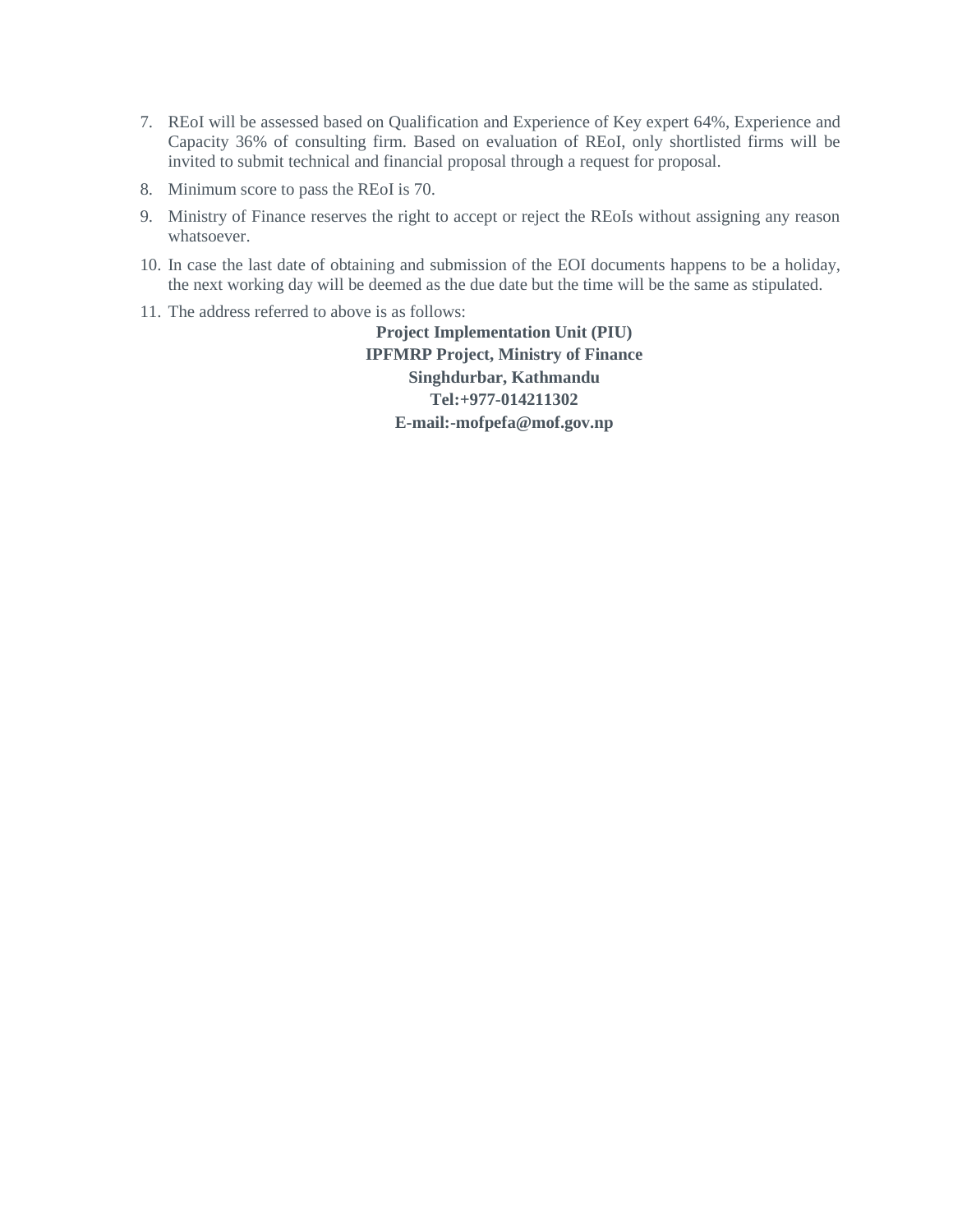- 7. REoI will be assessed based on Qualification and Experience of Key expert 64%, Experience and Capacity 36% of consulting firm. Based on evaluation of REoI, only shortlisted firms will be invited to submit technical and financial proposal through a request for proposal.
- 8. Minimum score to pass the REoI is 70.
- 9. Ministry of Finance reserves the right to accept or reject the REoIs without assigning any reason whatsoever.
- 10. In case the last date of obtaining and submission of the EOI documents happens to be a holiday, the next working day will be deemed as the due date but the time will be the same as stipulated.
- 11. The address referred to above is as follows:

**Project Implementation Unit (PIU) IPFMRP Project, Ministry of Finance Singhdurbar, Kathmandu Tel:+977-014211302 E-mail:-mofpefa@mof.gov.np**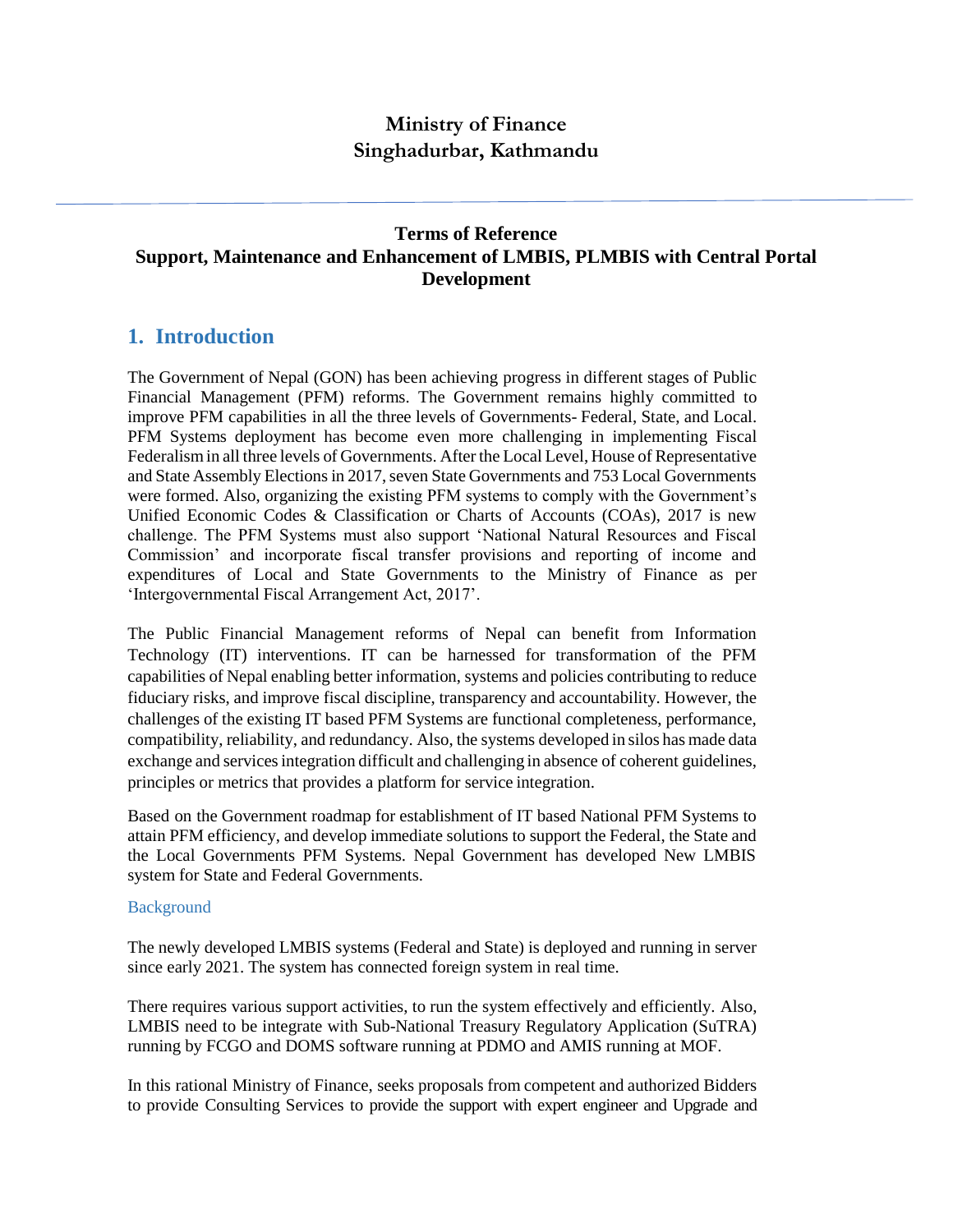# **Ministry of Finance Singhadurbar, Kathmandu**

## **Terms of Reference Support, Maintenance and Enhancement of LMBIS, PLMBIS with Central Portal Development**

## **1. Introduction**

The Government of Nepal (GON) has been achieving progress in different stages of Public Financial Management (PFM) reforms. The Government remains highly committed to improve PFM capabilities in all the three levels of Governments- Federal, State, and Local. PFM Systems deployment has become even more challenging in implementing Fiscal Federalismin all three levels of Governments. After the Local Level, House of Representative and State Assembly Elections in 2017, seven State Governments and 753 Local Governments were formed. Also, organizing the existing PFM systems to comply with the Government's Unified Economic Codes & Classification or Charts of Accounts (COAs), 2017 is new challenge. The PFM Systems must also support 'National Natural Resources and Fiscal Commission' and incorporate fiscal transfer provisions and reporting of income and expenditures of Local and State Governments to the Ministry of Finance as per 'Intergovernmental Fiscal Arrangement Act, 2017'.

The Public Financial Management reforms of Nepal can benefit from Information Technology (IT) interventions. IT can be harnessed for transformation of the PFM capabilities of Nepal enabling better information, systems and policies contributing to reduce fiduciary risks, and improve fiscal discipline, transparency and accountability. However, the challenges of the existing IT based PFM Systems are functional completeness, performance, compatibility, reliability, and redundancy. Also, the systems developed in silos has made data exchange and services integration difficult and challenging in absence of coherent guidelines, principles or metrics that provides a platform for service integration.

Based on the Government roadmap for establishment of IT based National PFM Systems to attain PFM efficiency, and develop immediate solutions to support the Federal, the State and the Local Governments PFM Systems. Nepal Government has developed New LMBIS system for State and Federal Governments.

#### **Background**

The newly developed LMBIS systems (Federal and State) is deployed and running in server since early 2021. The system has connected foreign system in real time.

There requires various support activities, to run the system effectively and efficiently. Also, LMBIS need to be integrate with Sub-National Treasury Regulatory Application (SuTRA) running by FCGO and DOMS software running at PDMO and AMIS running at MOF.

In this rational Ministry of Finance, seeks proposals from competent and authorized Bidders to provide Consulting Services to provide the support with expert engineer and Upgrade and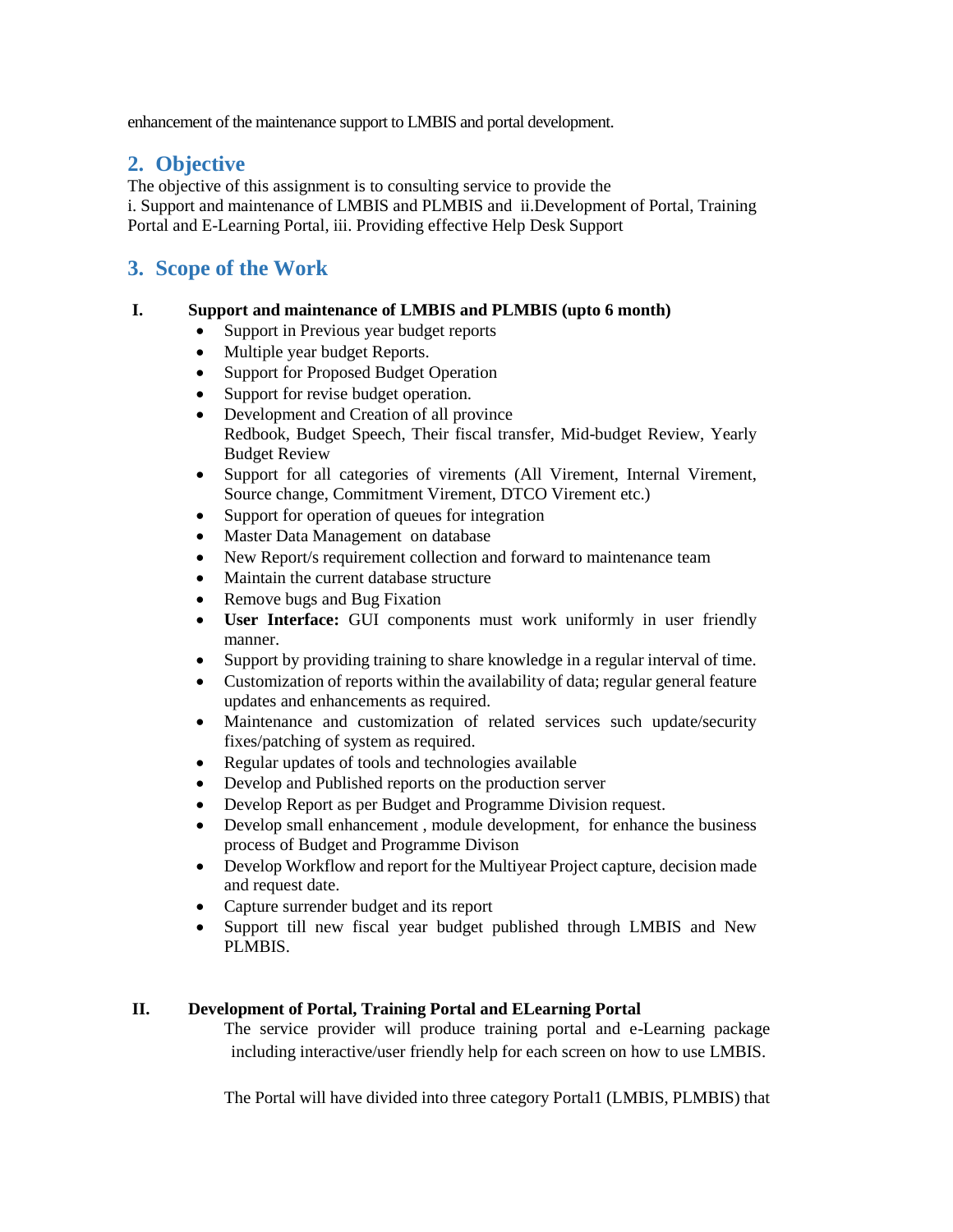enhancement of the maintenance support to LMBIS and portal development.

# **2. Objective**

The objective of this assignment is to consulting service to provide the i. Support and maintenance of LMBIS and PLMBIS and ii.Development of Portal, Training Portal and E-Learning Portal, iii. Providing effective Help Desk Support

# **3. Scope of the Work**

#### **I. Support and maintenance of LMBIS and PLMBIS (upto 6 month)**

- Support in Previous year budget reports
- Multiple year budget Reports.
- Support for Proposed Budget Operation
- Support for revise budget operation.
- Development and Creation of all province Redbook, Budget Speech, Their fiscal transfer, Mid-budget Review, Yearly Budget Review
- Support for all categories of virements (All Virement, Internal Virement, Source change, Commitment Virement, DTCO Virement etc.)
- Support for operation of queues for integration
- Master Data Management on database
- New Report/s requirement collection and forward to maintenance team
- Maintain the current database structure
- Remove bugs and Bug Fixation
- **User Interface:** GUI components must work uniformly in user friendly manner.
- Support by providing training to share knowledge in a regular interval of time.
- Customization of reports within the availability of data; regular general feature updates and enhancements as required.
- Maintenance and customization of related services such update/security fixes/patching of system as required.
- Regular updates of tools and technologies available
- Develop and Published reports on the production server
- Develop Report as per Budget and Programme Division request.
- Develop small enhancement, module development, for enhance the business process of Budget and Programme Divison
- Develop Workflow and report for the Multiyear Project capture, decision made and request date.
- Capture surrender budget and its report
- Support till new fiscal year budget published through LMBIS and New PLMBIS.

### **II. Development of Portal, Training Portal and ELearning Portal**

The service provider will produce training portal and e-Learning package including interactive/user friendly help for each screen on how to use LMBIS.

The Portal will have divided into three category Portal1 (LMBIS, PLMBIS) that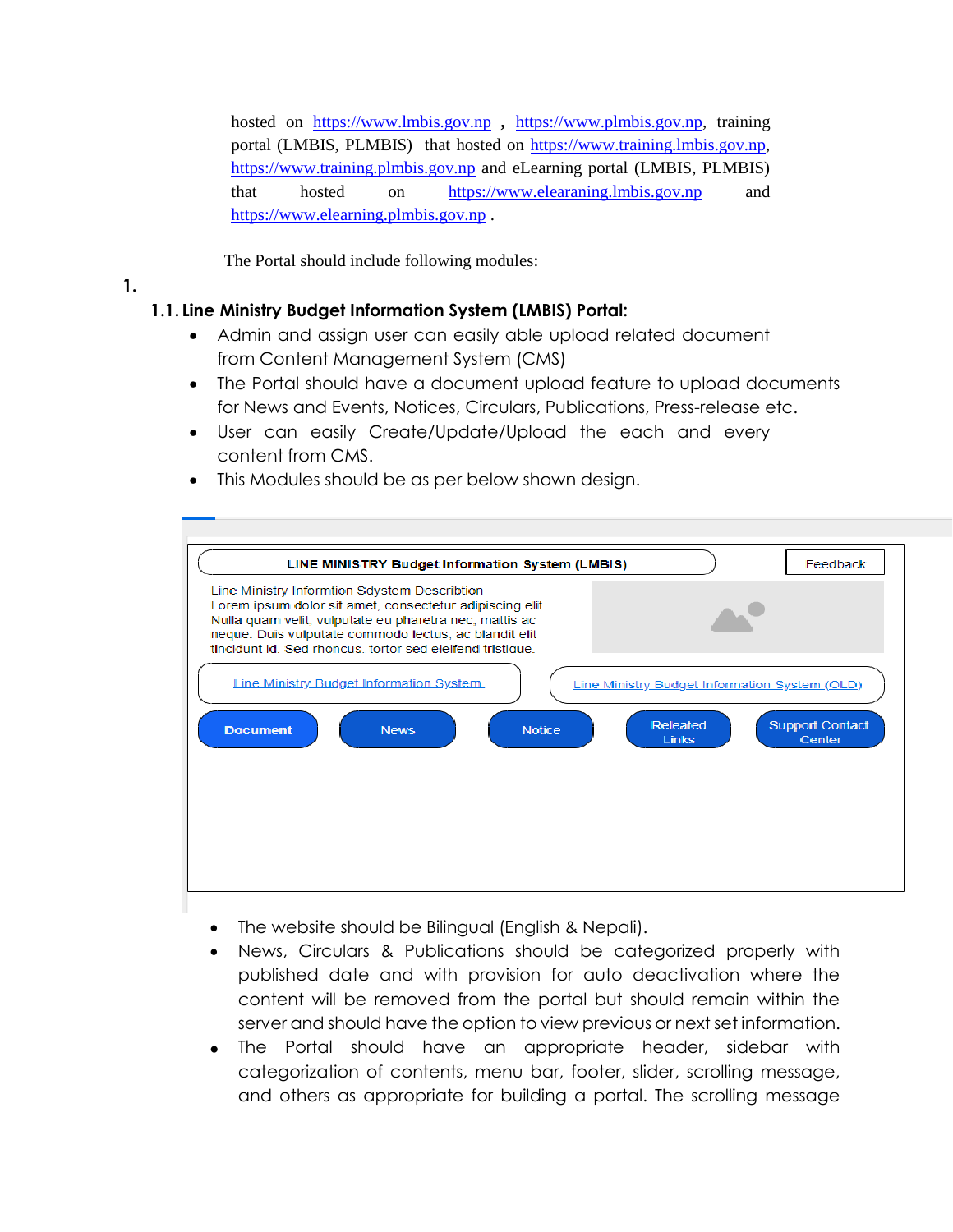hosted on https://www.lmbis.gov.np *,* https://www.plmbis.gov.np, training portal (LMBIS, PLMBIS) that hosted on [https://www.training.lmbis.gov.np,](https://www.training.lmbis.gov.np/) [https://www.training.plmbis.gov.np](https://www.training.plmbis.gov.np/) and eLearning portal (LMBIS, PLMBIS) that hosted on [https://www.elearaning.lmbis.gov.np](https://www.elearaning.lmbis.gov.np/) and [https://www.elearning.plmbis.gov.np](https://www.elearning.plmbis.gov.np/) .

The Portal should include following modules:

### **1.**

# **1.1. Line Ministry Budget Information System (LMBIS) Portal:**

- Admin and assign user can easily able upload related document from Content Management System (CMS)
- The Portal should have a document upload feature to upload documents for News and Events, Notices, Circulars, Publications, Press-release etc.
- User can easily Create/Update/Upload the each and every content from CMS.
- This Modules should be as per below shown design.



- The website should be Bilingual (English & Nepali).
- News, Circulars & Publications should be categorized properly with published date and with provision for auto deactivation where the content will be removed from the portal but should remain within the server and should have the option to view previous or next set information.
- The Portal should have an appropriate header, sidebar with categorization of contents, menu bar, footer, slider, scrolling message, and others as appropriate for building a portal. The scrolling message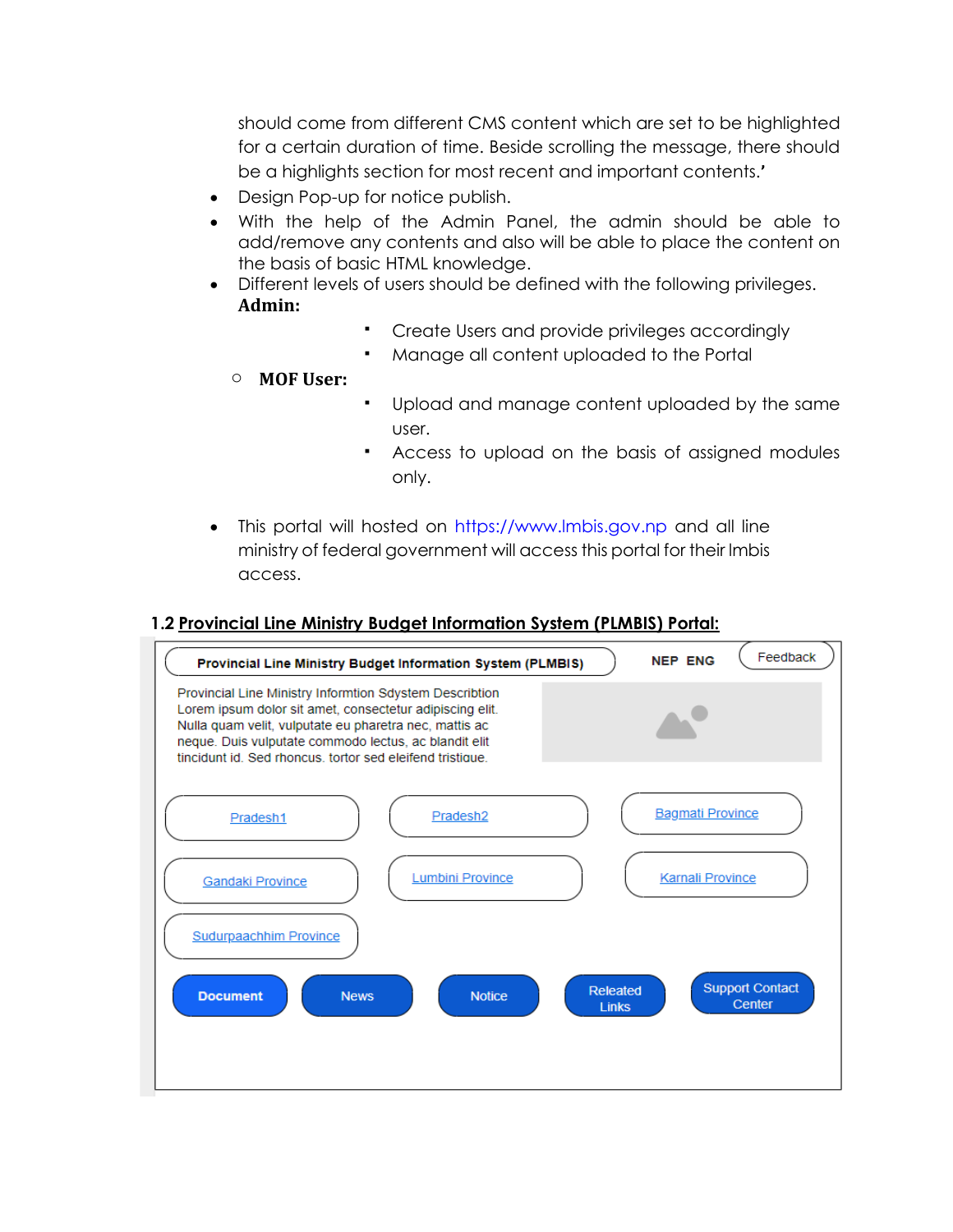should come from different CMS content which are set to be highlighted for a certain duration of time. Beside scrolling the message, there should be a highlights section for most recent and important contents.**'**

- Design Pop-up for notice publish.
- With the help of the Admin Panel, the admin should be able to add/remove any contents and also will be able to place the content on the basis of basic HTML knowledge.
- Different levels of users should be defined with the following privileges. **Admin:**
	- Create Users and provide privileges accordingly
	- Manage all content uploaded to the Portal
	- o **MOF User:**
- Upload and manage content uploaded by the same user.
- Access to upload on the basis of assigned modules only.
- This portal will hosted on [https://www.lmbis.gov.np](https://www.lmbis.gov.np/) and all line ministry of federal government will access this portal for their lmbis access.

### **1.2 Provincial Line Ministry Budget Information System (PLMBIS) Portal:**

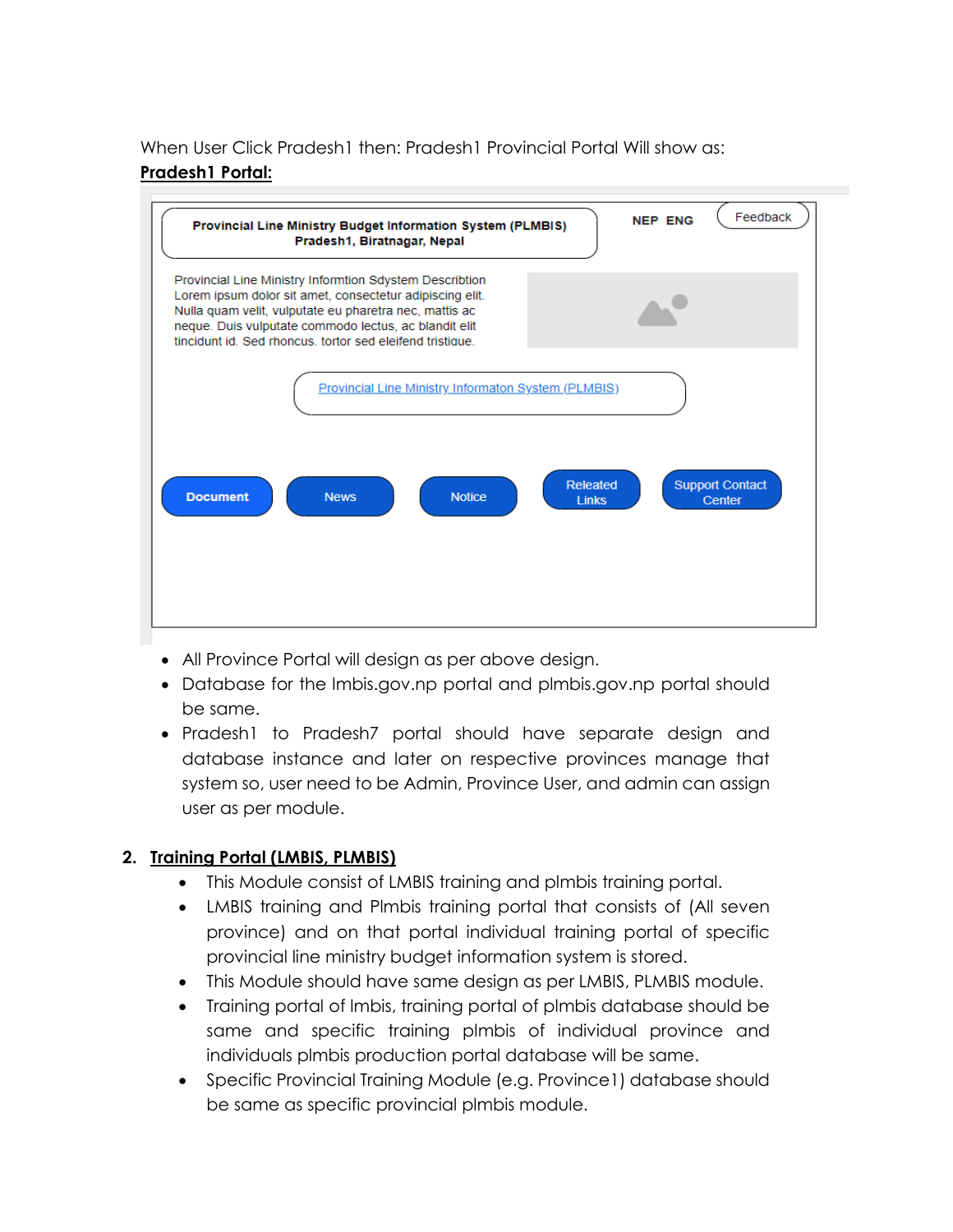When User Click Pradesh1 then: Pradesh1 Provincial Portal Will show as: **Pradesh1 Portal:**



- All Province Portal will design as per above design.
- Database for the lmbis.gov.np portal and plmbis.gov.np portal should be same.
- Pradesh1 to Pradesh7 portal should have separate design and database instance and later on respective provinces manage that system so, user need to be Admin, Province User, and admin can assign user as per module.

### **2. Training Portal (LMBIS, PLMBIS)**

- This Module consist of LMBIS training and plmbis training portal.
- LMBIS training and Plmbis training portal that consists of (All seven province) and on that portal individual training portal of specific provincial line ministry budget information system is stored.
- This Module should have same design as per LMBIS, PLMBIS module.
- Training portal of lmbis, training portal of plmbis database should be same and specific training plmbis of individual province and individuals plmbis production portal database will be same.
- Specific Provincial Training Module (e.g. Province1) database should be same as specific provincial plmbis module.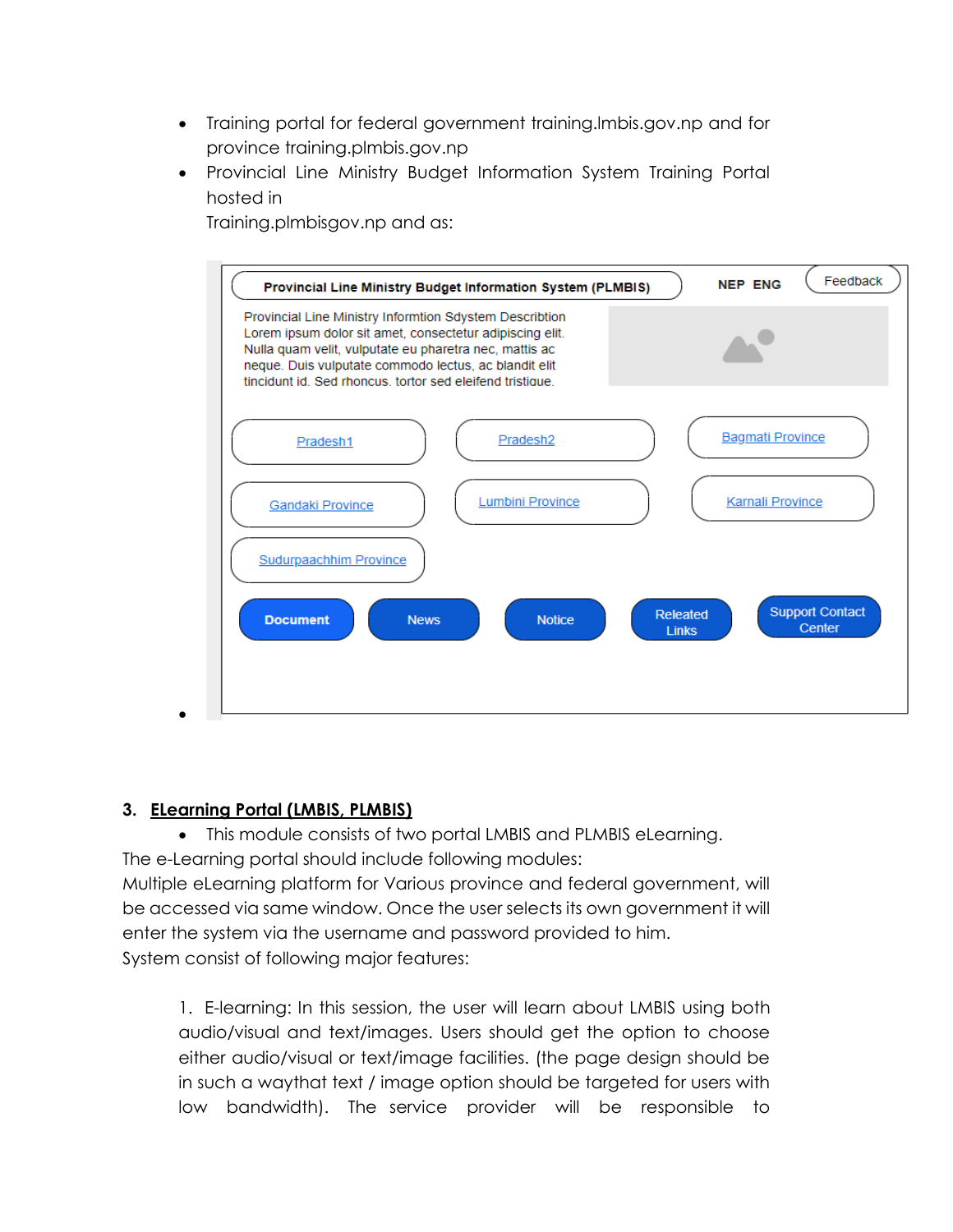- Training portal for federal government training.lmbis.gov.np and for province training.plmbis.gov.np
- Provincial Line Ministry Budget Information System Training Portal hosted in

Training.plmbisgov.np and as:



### **3. ELearning Portal (LMBIS, PLMBIS)**

This module consists of two portal LMBIS and PLMBIS eLearning.

The e-Learning portal should include following modules:

Multiple eLearning platform for Various province and federal government, will be accessed via same window. Once the user selects its own government it will enter the system via the username and password provided to him. System consist of following major features:

1. E-learning: In this session, the user will learn about LMBIS using both audio/visual and text/images. Users should get the option to choose either audio/visual or text/image facilities. (the page design should be in such a waythat text / image option should be targeted for users with low bandwidth). The service provider will be responsible to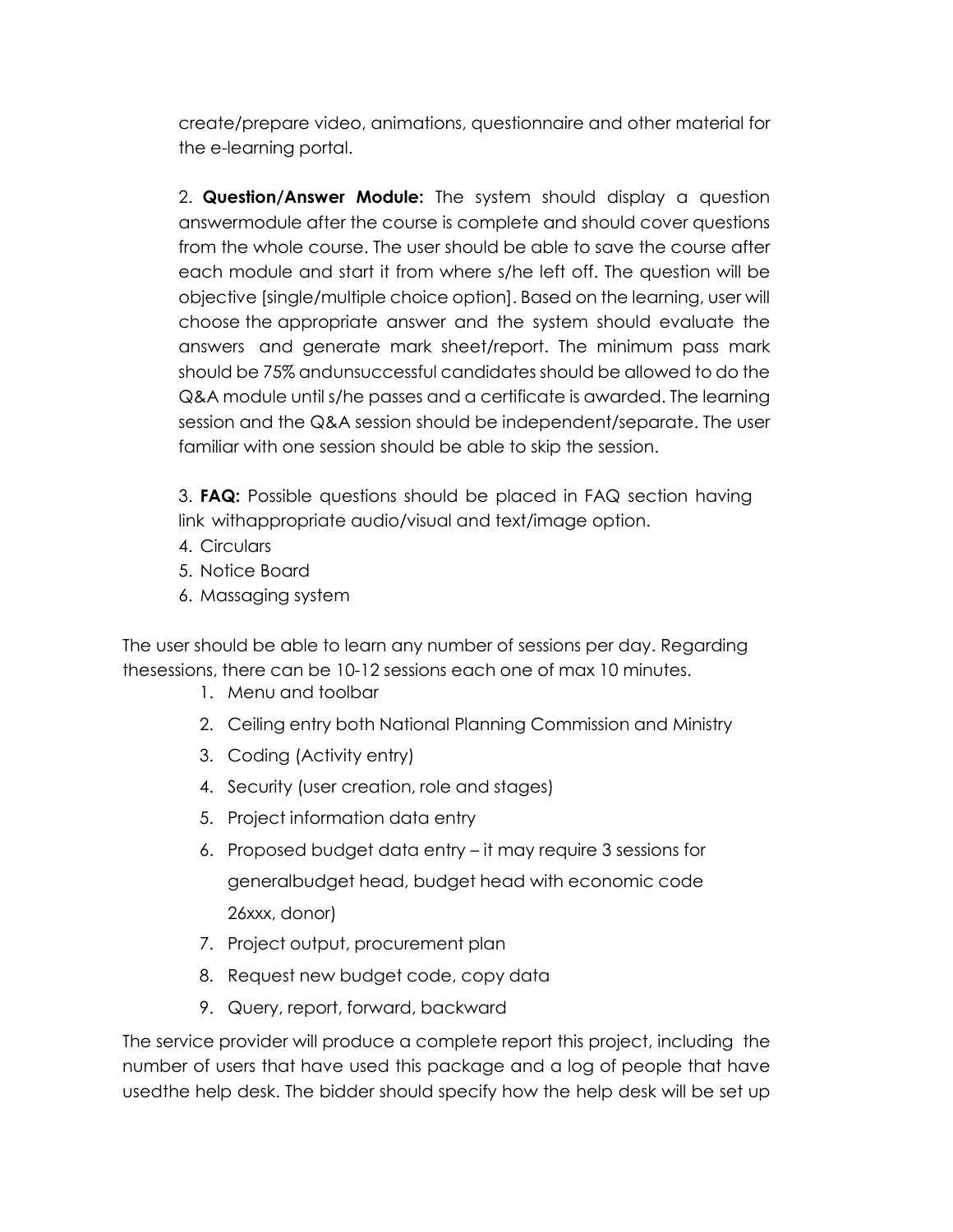create/prepare video, animations, questionnaire and other material for the e-learning portal.

2. **Question/Answer Module:** The system should display a question answermodule after the course is complete and should cover questions from the whole course. The user should be able to save the course after each module and start it from where s/he left off. The question will be objective [single/multiple choice option]. Based on the learning, user will choose the appropriate answer and the system should evaluate the answers and generate mark sheet/report. The minimum pass mark should be 75% andunsuccessful candidates should be allowed to do the Q&A module until s/he passes and a certificate is awarded. The learning session and the Q&A session should be independent/separate. The user familiar with one session should be able to skip the session.

3. **FAQ:** Possible questions should be placed in FAQ section having link withappropriate audio/visual and text/image option.

- 4. Circulars
- 5. Notice Board
- 6. Massaging system

The user should be able to learn any number of sessions per day. Regarding thesessions, there can be 10-12 sessions each one of max 10 minutes.

- 1. Menu and toolbar
- 2. Ceiling entry both National Planning Commission and Ministry
- 3. Coding (Activity entry)
- 4. Security (user creation, role and stages)
- 5. Project information data entry
- 6. Proposed budget data entry it may require 3 sessions for generalbudget head, budget head with economic code 26xxx, donor)
- 7. Project output, procurement plan
- 8. Request new budget code, copy data
- 9. Query, report, forward, backward

The service provider will produce a complete report this project, including the number of users that have used this package and a log of people that have usedthe help desk. The bidder should specify how the help desk will be set up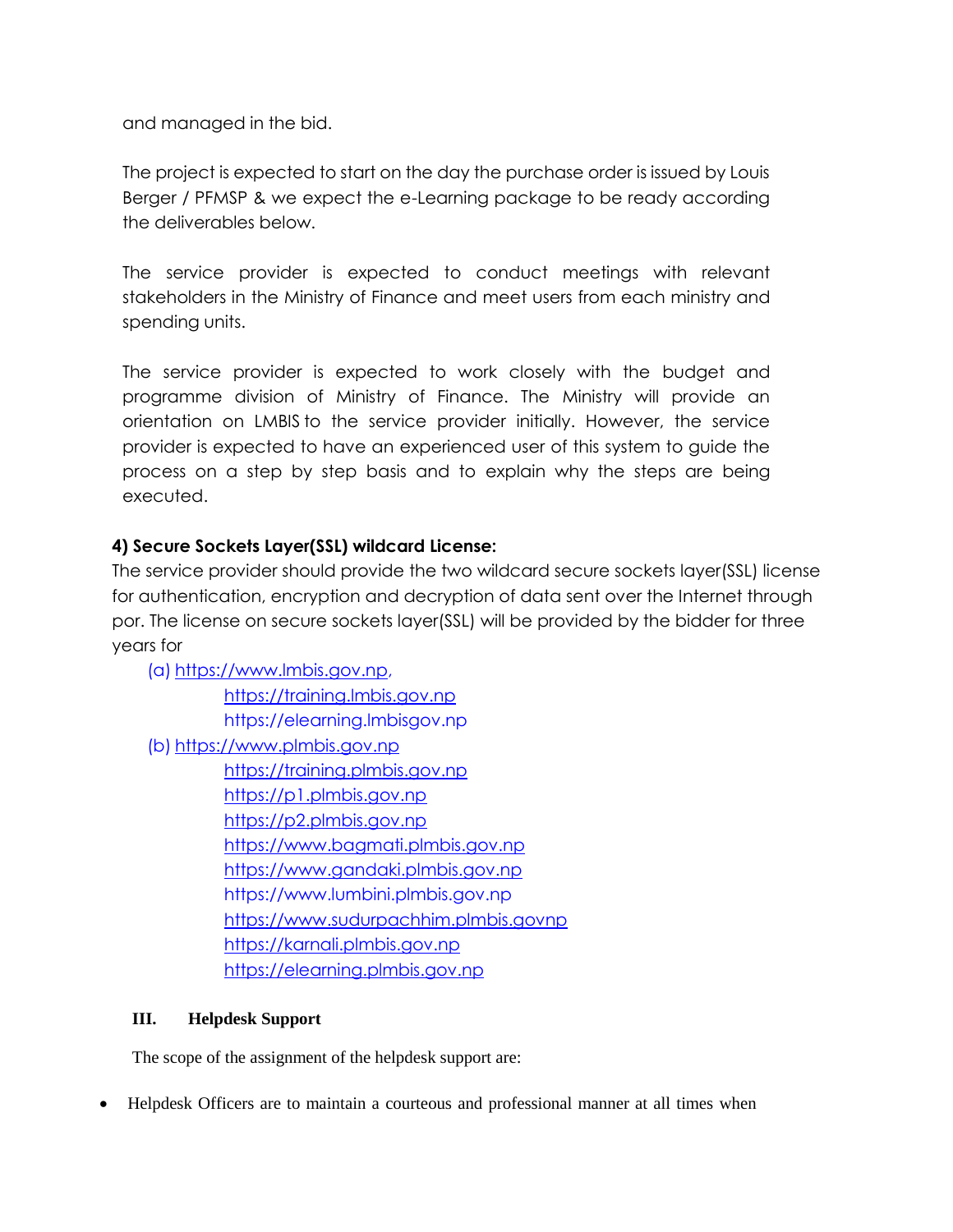and managed in the bid.

The project is expected to start on the day the purchase order is issued by Louis Berger / PFMSP & we expect the e-Learning package to be ready according the deliverables below.

The service provider is expected to conduct meetings with relevant stakeholders in the Ministry of Finance and meet users from each ministry and spending units.

The service provider is expected to work closely with the budget and programme division of Ministry of Finance. The Ministry will provide an orientation on LMBIS to the service provider initially. However, the service provider is expected to have an experienced user of this system to guide the process on a step by step basis and to explain why the steps are being executed.

### **4) Secure Sockets Layer(SSL) wildcard License:**

The service provider should provide the two wildcard secure sockets layer(SSL) license for authentication, encryption and decryption of data sent over the Internet through por. The license on secure sockets layer(SSL) will be provided by the bidder for three years for

(a) [https://www.lmbis.gov.np,](https://www.lmbis.gov.np/) [https://training.lmbis.gov.np](https://training.lmbis.gov.np/) https://elearning.lmbisgov.np (b) [https://www.plmbis.gov.np](https://www.plmbis.gov.np/) [https://training.plmbis.gov.np](https://training.plmbis.gov.np/) [https://p1.plmbis.gov.np](https://p1.plmbis.gov.np/) [https://p2.plmbis.gov.np](https://p2.plmbis.gov.np/) [https://www.bagmati.plmbis.gov.np](https://www.bagmati.plmbis.gov.np/) [https://www.gandaki.plmbis.gov.np](https://www.gandaki.plmbis.gov.np/) https://www.lumbini.plmbis.gov.np [https://www.sudurpachhim.plmbis.govnp](https://www.sudurpachhim.plmbis.govnp/) [https://karnali.plmbis.gov.np](https://karnali.plmbis.gov.np/) [https://elearning.plmbis.gov.np](https://elearning.plmbis.gov.np/)

### **III. Helpdesk Support**

The scope of the assignment of the helpdesk support are:

Helpdesk Officers are to maintain a courteous and professional manner at all times when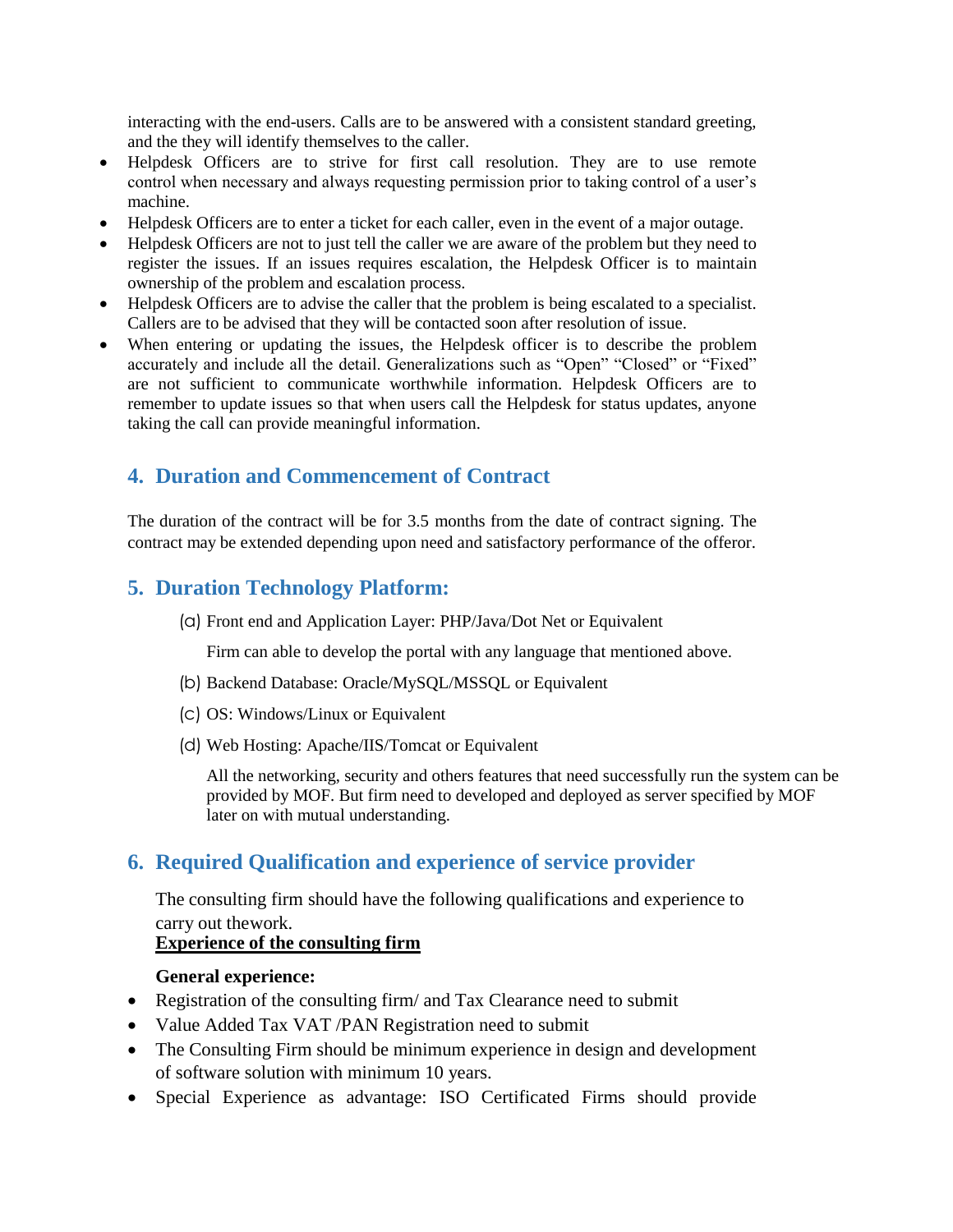interacting with the end-users. Calls are to be answered with a consistent standard greeting, and the they will identify themselves to the caller.

- Helpdesk Officers are to strive for first call resolution. They are to use remote control when necessary and always requesting permission prior to taking control of a user's machine.
- Helpdesk Officers are to enter a ticket for each caller, even in the event of a major outage.
- Helpdesk Officers are not to just tell the caller we are aware of the problem but they need to register the issues. If an issues requires escalation, the Helpdesk Officer is to maintain ownership of the problem and escalation process.
- Helpdesk Officers are to advise the caller that the problem is being escalated to a specialist. Callers are to be advised that they will be contacted soon after resolution of issue.
- When entering or updating the issues, the Helpdesk officer is to describe the problem accurately and include all the detail. Generalizations such as "Open" "Closed" or "Fixed" are not sufficient to communicate worthwhile information. Helpdesk Officers are to remember to update issues so that when users call the Helpdesk for status updates, anyone taking the call can provide meaningful information.

# **4. Duration and Commencement of Contract**

The duration of the contract will be for 3.5 months from the date of contract signing. The contract may be extended depending upon need and satisfactory performance of the offeror.

# **5. Duration Technology Platform:**

(a) Front end and Application Layer: PHP/Java/Dot Net or Equivalent

Firm can able to develop the portal with any language that mentioned above.

- (b) Backend Database: Oracle/MySQL/MSSQL or Equivalent
- (c) OS: Windows/Linux or Equivalent
- (d) Web Hosting: Apache/IIS/Tomcat or Equivalent

All the networking, security and others features that need successfully run the system can be provided by MOF. But firm need to developed and deployed as server specified by MOF later on with mutual understanding.

# **6. Required Qualification and experience of service provider**

The consulting firm should have the following qualifications and experience to carry out thework.

### **Experience of the consulting firm**

### **General experience:**

- Registration of the consulting firm/ and Tax Clearance need to submit
- Value Added Tax VAT /PAN Registration need to submit
- The Consulting Firm should be minimum experience in design and development of software solution with minimum 10 years.
- Special Experience as advantage: ISO Certificated Firms should provide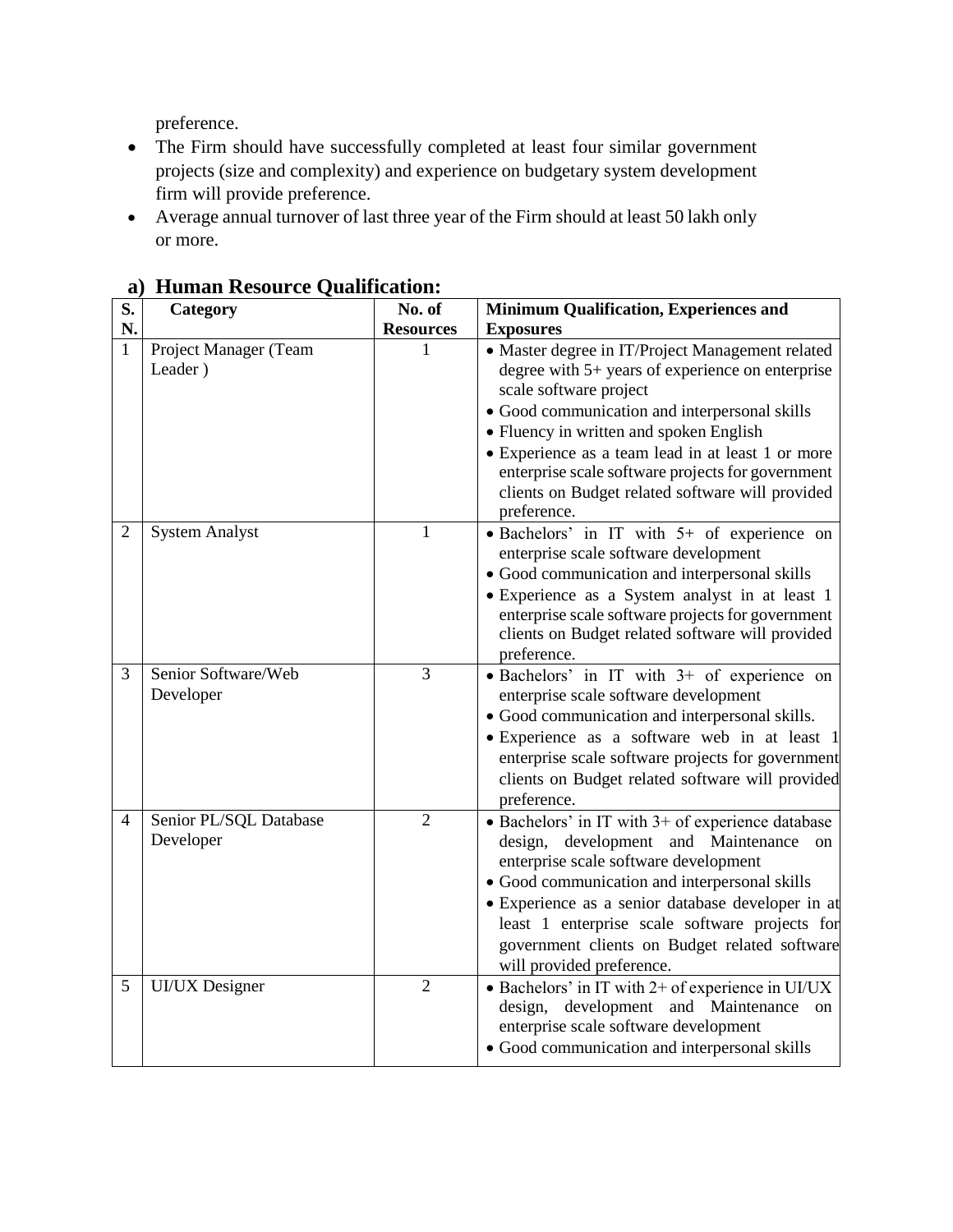preference.

- The Firm should have successfully completed at least four similar government projects (size and complexity) and experience on budgetary system development firm will provide preference.
- Average annual turnover of last three year of the Firm should at least 50 lakh only or more.

| S.             | Category                            | No. of           | <b>Minimum Qualification, Experiences and</b>                                                                                                                                                                                                                                                                                                                                                           |
|----------------|-------------------------------------|------------------|---------------------------------------------------------------------------------------------------------------------------------------------------------------------------------------------------------------------------------------------------------------------------------------------------------------------------------------------------------------------------------------------------------|
| N.             |                                     | <b>Resources</b> | <b>Exposures</b>                                                                                                                                                                                                                                                                                                                                                                                        |
| 1              | Project Manager (Team<br>Leader)    |                  | • Master degree in IT/Project Management related<br>degree with 5+ years of experience on enterprise<br>scale software project<br>• Good communication and interpersonal skills<br>• Fluency in written and spoken English<br>• Experience as a team lead in at least 1 or more<br>enterprise scale software projects for government<br>clients on Budget related software will provided<br>preference. |
| $\overline{2}$ | <b>System Analyst</b>               | $\mathbf{1}$     | · Bachelors' in IT with 5+ of experience on<br>enterprise scale software development<br>· Good communication and interpersonal skills<br>• Experience as a System analyst in at least 1<br>enterprise scale software projects for government<br>clients on Budget related software will provided<br>preference.                                                                                         |
| 3              | Senior Software/Web<br>Developer    | 3                | • Bachelors' in IT with 3+ of experience on<br>enterprise scale software development<br>• Good communication and interpersonal skills.<br>· Experience as a software web in at least 1<br>enterprise scale software projects for government<br>clients on Budget related software will provided<br>preference.                                                                                          |
| 4              | Senior PL/SQL Database<br>Developer | $\overline{2}$   | • Bachelors' in IT with 3+ of experience database<br>design, development and Maintenance<br>on<br>enterprise scale software development<br>• Good communication and interpersonal skills<br>• Experience as a senior database developer in at<br>least 1 enterprise scale software projects for<br>government clients on Budget related software<br>will provided preference.                           |
| 5              | <b>UI/UX</b> Designer               | $\overline{2}$   | • Bachelors' in IT with $2+$ of experience in UI/UX<br>design, development and Maintenance<br>on<br>enterprise scale software development<br>· Good communication and interpersonal skills                                                                                                                                                                                                              |

**a) Human Resource Qualification:**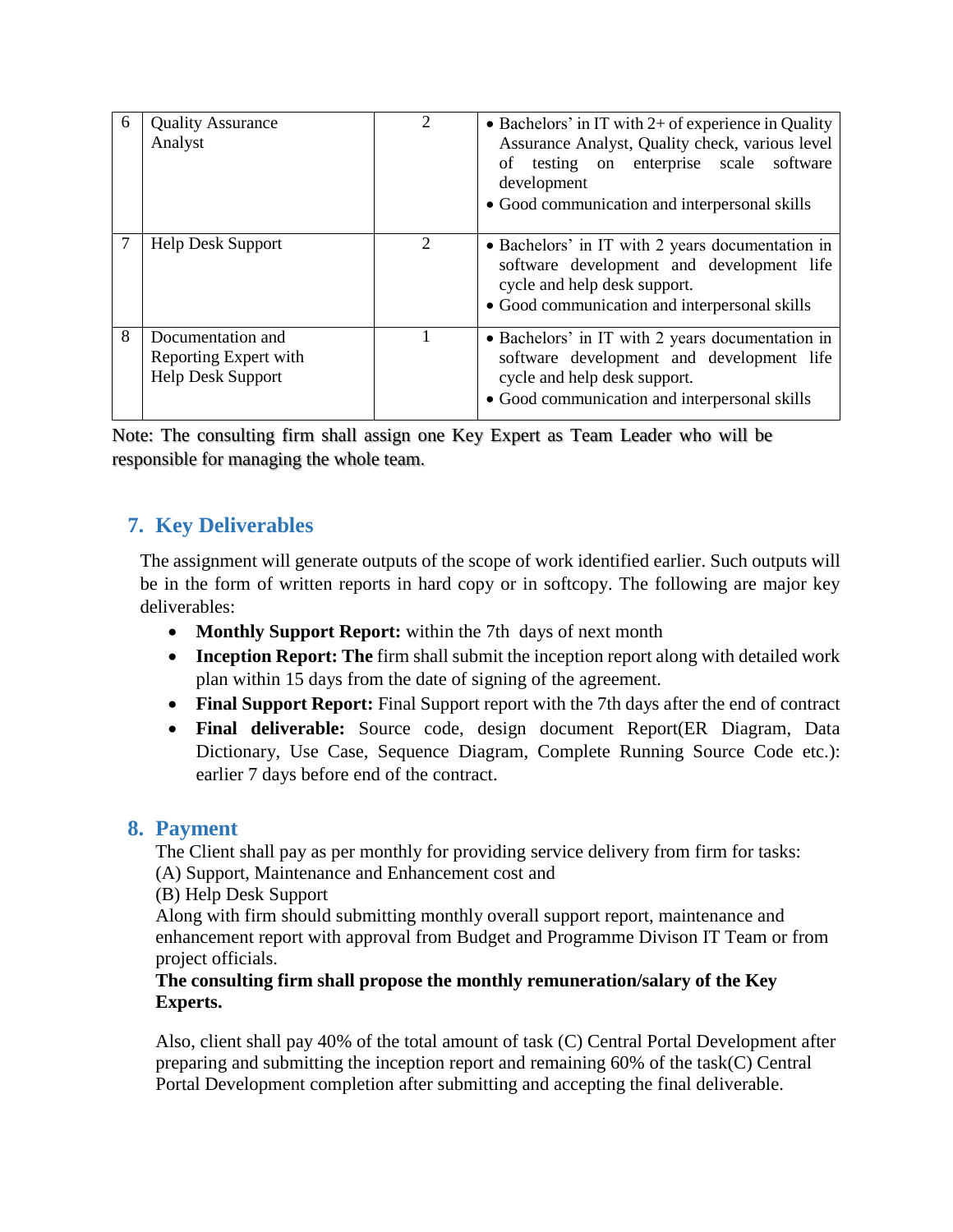| 6 | <b>Quality Assurance</b><br>Analyst                                    | $\mathfrak{D}_{\mathfrak{p}}$ | • Bachelors' in IT with $2+$ of experience in Quality<br>Assurance Analyst, Quality check, various level<br>testing on enterprise scale software<br>οf<br>development<br>• Good communication and interpersonal skills |
|---|------------------------------------------------------------------------|-------------------------------|------------------------------------------------------------------------------------------------------------------------------------------------------------------------------------------------------------------------|
|   | <b>Help Desk Support</b>                                               | 2                             | • Bachelors' in IT with 2 years documentation in<br>software development and development life<br>cycle and help desk support.<br>• Good communication and interpersonal skills                                         |
| 8 | Documentation and<br>Reporting Expert with<br><b>Help Desk Support</b> |                               | • Bachelors' in IT with 2 years documentation in<br>software development and development life<br>cycle and help desk support.<br>• Good communication and interpersonal skills                                         |

Note: The consulting firm shall assign one Key Expert as Team Leader who will be responsible for managing the whole team.

# **7. Key Deliverables**

The assignment will generate outputs of the scope of work identified earlier. Such outputs will be in the form of written reports in hard copy or in softcopy. The following are major key deliverables:

- Monthly Support Report: within the 7th days of next month
- **Inception Report: The** firm shall submit the inception report along with detailed work plan within 15 days from the date of signing of the agreement.
- **Final Support Report:** Final Support report with the 7th days after the end of contract
- **Final deliverable:** Source code, design document Report(ER Diagram, Data Dictionary, Use Case, Sequence Diagram, Complete Running Source Code etc.): earlier 7 days before end of the contract.

## **8. Payment**

The Client shall pay as per monthly for providing service delivery from firm for tasks: (A) Support, Maintenance and Enhancement cost and

(B) Help Desk Support

Along with firm should submitting monthly overall support report, maintenance and enhancement report with approval from Budget and Programme Divison IT Team or from project officials.

### **The consulting firm shall propose the monthly remuneration/salary of the Key Experts.**

Also, client shall pay 40% of the total amount of task (C) Central Portal Development after preparing and submitting the inception report and remaining 60% of the task(C) Central Portal Development completion after submitting and accepting the final deliverable.